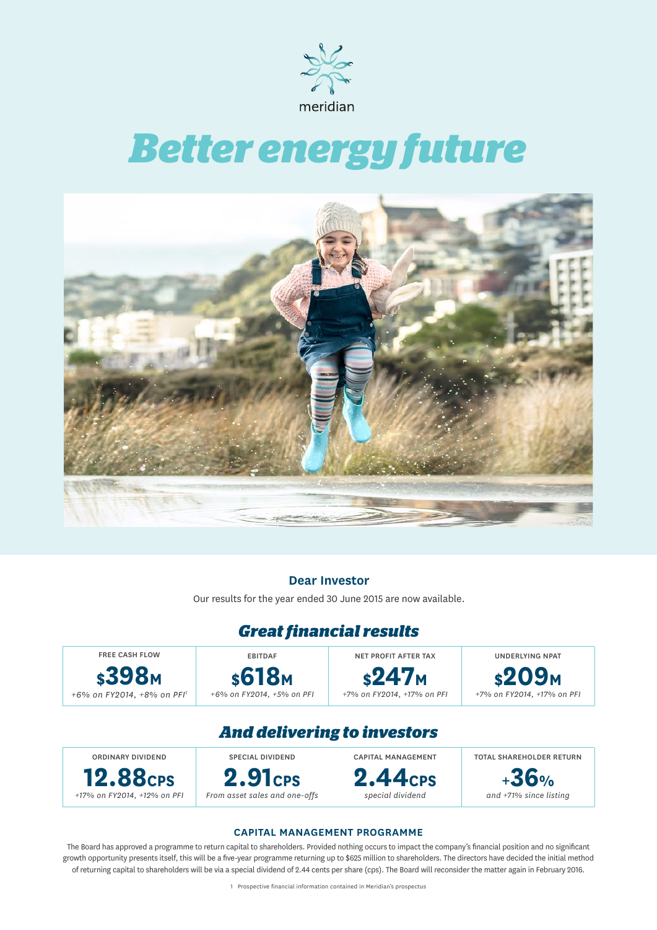

# *Better energy future*



### **Dear Investor**

Our results for the year ended 30 June 2015 are now available.

### *Great financial results*

**\$398M** *+6% on FY2014, +8% on PFI1*

FREE CASH FLOW

EBITDAF **\$618M** *+6% on FY2014, +5% on PFI*

NET PROFIT AFTER TAX **\$247M** *+7% on FY2014, +17% on PFI*

UNDERLYING NPAT **\$209M** *+7% on FY2014, +17% on PFI*

### *And delivering to investors*

ORDINARY DIVIDEND **12.88CPS** *+17% on FY2014, +12% on PFI* SPECIAL DIVIDEND **2.91CPS** *From asset sales and one-offs* CAPITAL MANAGEMENT **2.44CPS** *special dividend* TOTAL SHAREHOLDER RETURN **+36%** *and +71% since listing*

### **CAPITAL MANAGEMENT PROGRAMME**

The Board has approved a programme to return capital to shareholders. Provided nothing occurs to impact the company's financial position and no significant growth opportunity presents itself, this will be a five-year programme returning up to \$625 million to shareholders. The directors have decided the initial method of returning capital to shareholders will be via a special dividend of 2.44 cents per share (cps). The Board will reconsider the matter again in February 2016.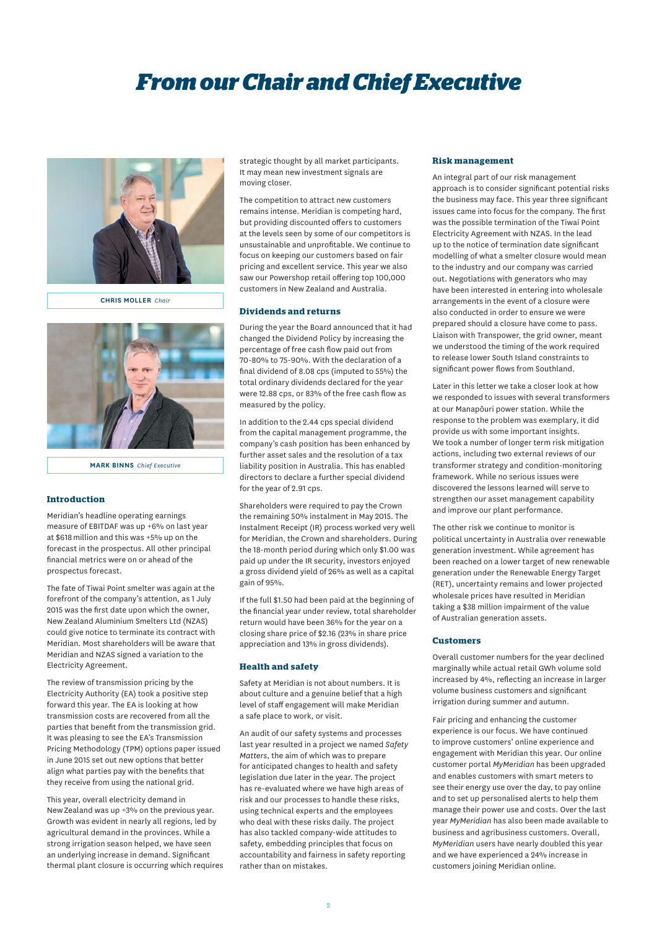# *From our Chair and Chief Executive*



**CHRIS MOLLER** *Chair*



**MARK BINNS** *Chief Executive*

#### **Introduction**

Meridian's headline operating earnings measure of EBITDAF was up +6% on last year at \$618 million and this was +5% up on the forecast in the prospectus. All other principal financial metrics were on or ahead of the prospectus forecast.

The fate of Tiwai Point smelter was again at the forefront of the company's attention, as 1 July 2015 was the first date upon which the owner, New Zealand Aluminium Smelters Ltd (NZAS) could give notice to terminate its contract with Meridian. Most shareholders will be aware that Meridian and NZAS signed a variation to the Electricity Agreement.

The review of transmission pricing by the Electricity Authority (EA) took a positive step forward this year. The EA is looking at how transmission costs are recovered from all the parties that benefit from the transmission grid. It was pleasing to see the EA's Transmission Pricing Methodology (TPM) options paper issued in June 2015 set out new options that better align what parties pay with the benefits that they receive from using the national grid.

This year, overall electricity demand in New Zealand was up +3% on the previous year. Growth was evident in nearly all regions, led by agricultural demand in the provinces. While a strong irrigation season helped, we have seen an underlying increase in demand. Significant thermal plant closure is occurring which requires

strategic thought by all market participants. It may mean new investment signals are moving closer.

The competition to attract new customers remains intense. Meridian is competing hard, but providing discounted offers to customers at the levels seen by some of our competitors is unsustainable and unprofitable. We continue to focus on keeping our customers based on fair pricing and excellent service. This year we also saw our Powershop retail offering top 100,000 customers in New Zealand and Australia.

#### **Dividends and returns**

During the year the Board announced that it had changed the Dividend Policy by increasing the percentage of free cash flow paid out from 70-80% to 75-90%. With the declaration of a final dividend of 8.08 cps (imputed to 55%) the total ordinary dividends declared for the year were 12.88 cps, or 83% of the free cash flow as measured by the policy.

In addition to the 2.44 cps special dividend from the capital management programme, the company's cash position has been enhanced by further asset sales and the resolution of a tax liability position in Australia. This has enabled directors to declare a further special dividend for the year of 2.91 cps.

Shareholders were required to pay the Crown the remaining 50% instalment in May 2015. The Instalment Receipt (IR) process worked very well for Meridian, the Crown and shareholders. During the 18-month period during which only \$1.00 was paid up under the IR security, investors enjoyed a gross dividend yield of 26% as well as a capital gain of 95%.

If the full \$1.50 had been paid at the beginning of the financial year under review, total shareholder return would have been 36% for the year on a closing share price of \$2.16 (23% in share price appreciation and 13% in gross dividends).

#### **Health and safety**

Safety at Meridian is not about numbers. It is about culture and a genuine belief that a high level of staff engagement will make Meridian a safe place to work, or visit.

An audit of our safety systems and processes last year resulted in a project we named *Safety Matters*, the aim of which was to prepare for anticipated changes to health and safety legislation due later in the year. The project has re-evaluated where we have high areas of risk and our processes to handle these risks, using technical experts and the employees who deal with these risks daily. The project has also tackled company-wide attitudes to safety, embedding principles that focus on accountability and fairness in safety reporting rather than on mistakes.

#### **Risk management**

An integral part of our risk management approach is to consider significant potential risks the business may face. This year three significant issues came into focus for the company. The first was the possible termination of the Tiwai Point Electricity Agreement with NZAS. In the lead up to the notice of termination date significant modelling of what a smelter closure would mean to the industry and our company was carried out. Negotiations with generators who may have been interested in entering into wholesale arrangements in the event of a closure were also conducted in order to ensure we were prepared should a closure have come to pass. Liaison with Transpower, the grid owner, meant we understood the timing of the work required to release lower South Island constraints to significant power flows from Southland.

Later in this letter we take a closer look at how we responded to issues with several transformers at our Manapōuri power station. While the response to the problem was exemplary, it did provide us with some important insights. We took a number of longer term risk mitigation actions, including two external reviews of our transformer strategy and condition-monitoring framework. While no serious issues were discovered the lessons learned will serve to strengthen our asset management capability and improve our plant performance.

The other risk we continue to monitor is political uncertainty in Australia over renewable generation investment. While agreement has been reached on a lower target of new renewable generation under the Renewable Energy Target (RET), uncertainty remains and lower projected wholesale prices have resulted in Meridian taking a \$38 million impairment of the value of Australian generation assets.

#### **Customers**

Overall customer numbers for the year declined marginally while actual retail GWh volume sold increased by 4%, reflecting an increase in larger volume business customers and significant irrigation during summer and autumn.

Fair pricing and enhancing the customer experience is our focus. We have continued to improve customers' online experience and engagement with Meridian this year. Our online customer portal *MyMeridian* has been upgraded and enables customers with smart meters to see their energy use over the day, to pay online and to set up personalised alerts to help them manage their power use and costs. Over the last year *MyMeridian* has also been made available to business and agribusiness customers. Overall, *MyMeridian* users have nearly doubled this year and we have experienced a 24% increase in customers joining Meridian online.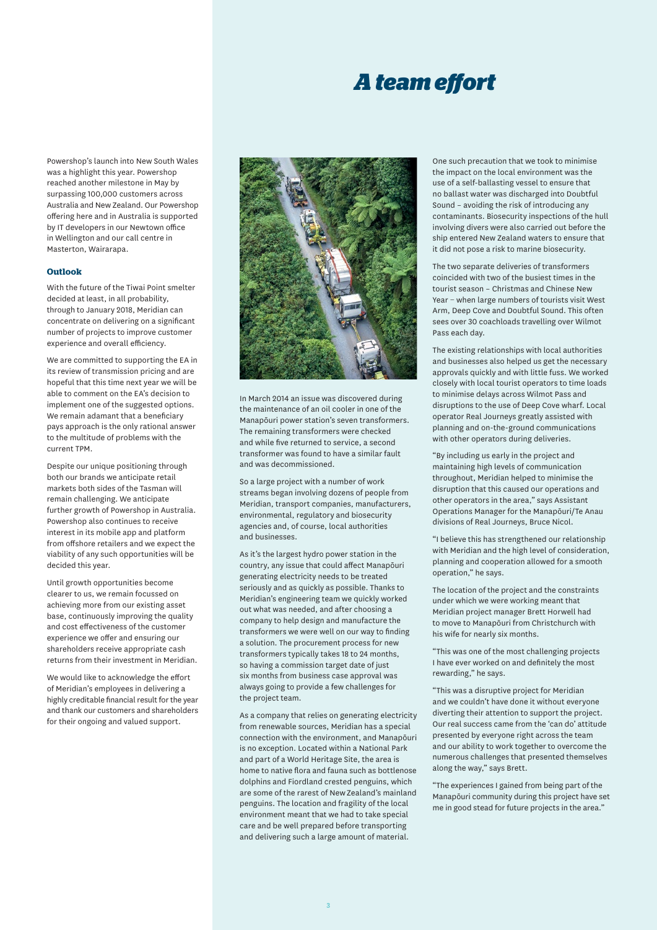### *A team effort*

Powershop's launch into New South Wales was a highlight this year. Powershop reached another milestone in May by surpassing 100,000 customers across Australia and New Zealand. Our Powershop offering here and in Australia is supported by IT developers in our Newtown office in Wellington and our call centre in Masterton, Wairarapa.

#### **Outlook**

With the future of the Tiwai Point smelter decided at least, in all probability, through to January 2018, Meridian can concentrate on delivering on a significant number of projects to improve customer experience and overall efficiency.

We are committed to supporting the EA in its review of transmission pricing and are hopeful that this time next year we will be able to comment on the EA's decision to implement one of the suggested options. We remain adamant that a beneficiary pays approach is the only rational answer to the multitude of problems with the current TPM.

Despite our unique positioning through both our brands we anticipate retail markets both sides of the Tasman will remain challenging. We anticipate further growth of Powershop in Australia. Powershop also continues to receive interest in its mobile app and platform from offshore retailers and we expect the viability of any such opportunities will be decided this year.

Until growth opportunities become clearer to us, we remain focussed on achieving more from our existing asset base, continuously improving the quality and cost effectiveness of the customer experience we offer and ensuring our shareholders receive appropriate cash returns from their investment in Meridian.

We would like to acknowledge the effort of Meridian's employees in delivering a highly creditable financial result for the year and thank our customers and shareholders for their ongoing and valued support.



In March 2014 an issue was discovered during the maintenance of an oil cooler in one of the Manapōuri power station's seven transformers. The remaining transformers were checked and while five returned to service, a second transformer was found to have a similar fault and was decommissioned.

So a large project with a number of work streams began involving dozens of people from Meridian, transport companies, manufacturers, environmental, regulatory and biosecurity agencies and, of course, local authorities and businesses.

As it's the largest hydro power station in the country, any issue that could affect Manapōuri generating electricity needs to be treated seriously and as quickly as possible. Thanks to Meridian's engineering team we quickly worked out what was needed, and after choosing a company to help design and manufacture the transformers we were well on our way to finding a solution. The procurement process for new transformers typically takes 18 to 24 months, so having a commission target date of just six months from business case approval was always going to provide a few challenges for the project team.

As a company that relies on generating electricity from renewable sources, Meridian has a special connection with the environment, and Manapōuri is no exception. Located within a National Park and part of a World Heritage Site, the area is home to native flora and fauna such as bottlenose dolphins and Fiordland crested penguins, which are some of the rarest of New Zealand's mainland penguins. The location and fragility of the local environment meant that we had to take special care and be well prepared before transporting and delivering such a large amount of material.

One such precaution that we took to minimise the impact on the local environment was the use of a self-ballasting vessel to ensure that no ballast water was discharged into Doubtful Sound – avoiding the risk of introducing any contaminants. Biosecurity inspections of the hull involving divers were also carried out before the ship entered New Zealand waters to ensure that it did not pose a risk to marine biosecurity.

The two separate deliveries of transformers coincided with two of the busiest times in the tourist season – Christmas and Chinese New Year − when large numbers of tourists visit West Arm, Deep Cove and Doubtful Sound. This often sees over 30 coachloads travelling over Wilmot Pass each day.

The existing relationships with local authorities and businesses also helped us get the necessary approvals quickly and with little fuss. We worked closely with local tourist operators to time loads to minimise delays across Wilmot Pass and disruptions to the use of Deep Cove wharf. Local operator Real Journeys greatly assisted with planning and on-the-ground communications with other operators during deliveries.

"By including us early in the project and maintaining high levels of communication throughout, Meridian helped to minimise the disruption that this caused our operations and other operators in the area," says Assistant Operations Manager for the Manapōuri/Te Anau divisions of Real Journeys, Bruce Nicol.

"I believe this has strengthened our relationship with Meridian and the high level of consideration, planning and cooperation allowed for a smooth operation," he says.

The location of the project and the constraints under which we were working meant that Meridian project manager Brett Horwell had to move to Manapōuri from Christchurch with his wife for nearly six months.

"This was one of the most challenging projects I have ever worked on and definitely the most rewarding," he says.

"This was a disruptive project for Meridian and we couldn't have done it without everyone diverting their attention to support the project. Our real success came from the 'can do' attitude presented by everyone right across the team and our ability to work together to overcome the numerous challenges that presented themselves along the way," says Brett.

"The experiences I gained from being part of the Manapōuri community during this project have set me in good stead for future projects in the area."